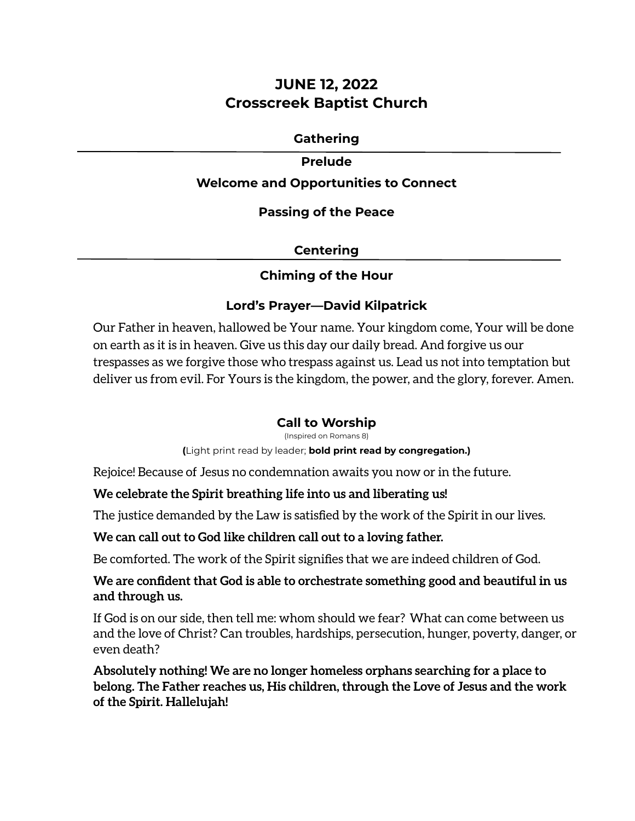# **JUNE 12, 2022 Crosscreek Baptist Church**

## **Gathering**

#### **Prelude**

## **Welcome and Opportunities to Connect**

### **Passing of the Peace**

## **Centering**

## **Chiming of the Hour**

## **Lord's Prayer—David Kilpatrick**

Our Father in heaven, hallowed be Your name. Your kingdom come, Your will be done on earth as it is in heaven. Give us this day our daily bread. And forgive us our trespasses as we forgive those who trespass against us. Lead us not into temptation but deliver us from evil. For Yours is the kingdom, the power, and the glory, forever. Amen.

## **Call to Worship**

(Inspired on Romans 8)

**(**Light print read by leader; **bold print read by congregation.)**

Rejoice! Because of Jesus no condemnation awaits you now or in the future.

## **We celebrate the Spirit breathing life into us and liberating us!**

The justice demanded by the Law is satisfied by the work of the Spirit in our lives.

## **We can call out to God like children call out to a loving father.**

Be comforted. The work of the Spirit signifies that we are indeed children of God.

## **We are confident that God is able to orchestrate something good and beautiful in us and through us.**

If God is on our side, then tell me: whom should we fear? What can come between us and the love of Christ? Can troubles, hardships, persecution, hunger, poverty, danger, or even death?

## **Absolutely nothing! We are no longer homeless orphans searching for a place to belong. The Father reaches us, His children, through the Love of Jesus and the work of the Spirit. Hallelujah!**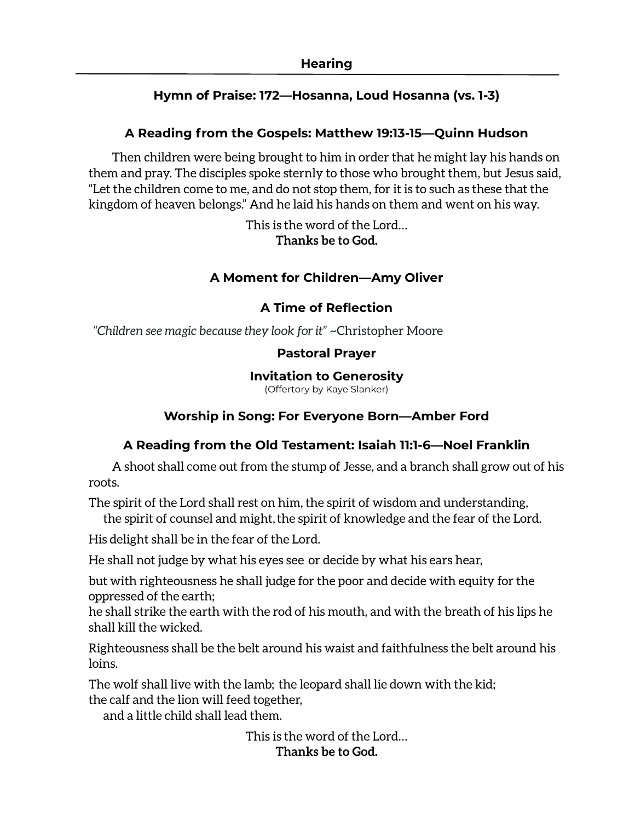## **Hymn of Praise: 172—Hosanna, Loud Hosanna (vs. 1-3)**

## **A Reading from the Gospels: Matthew 19:13-15—Quinn Hudson**

Then children were being brought to him in order that he might lay his hands on them and pray. The disciples spoke sternly to those who brought them, but Jesus said, "Let the children come to me, and do not stop them, for it is to such as these that the kingdom of heaven belongs." And he laid his hands on them and went on his way.

> This is the word of the Lord… **Thanks be to God.**

## **A Moment for Children—Amy Oliver**

## **A Time of Reflection**

*"Children see magic because they look for it" ~*Christopher Moore

### **Pastoral Prayer**

### **Invitation to Generosity**

(Offertory by Kaye Slanker)

## **Worship in Song: For Everyone Born—Amber Ford**

## **A Reading from the Old Testament: Isaiah 11:1-6—Noel Franklin**

A shoot shall come out from the stump of Jesse, and a branch shall grow out of his roots.

The spirit of the Lord shall rest on him, the spirit of wisdom and understanding,

the spirit of counsel and might, the spirit of knowledge and the fear of the Lord.

His delight shall be in the fear of the Lord.

He shall not judge by what his eyes see or decide by what his ears hear,

but with righteousness he shall judge for the poor and decide with equity for the oppressed of the earth;

he shall strike the earth with the rod of his mouth, and with the breath of his lips he shall kill the wicked.

Righteousness shall be the belt around his waist and faithfulness the belt around his loins.

The wolf shall live with the lamb; the leopard shall lie down with the kid; the calf and the lion will feed together,

and a little child shall lead them.

This is the word of the Lord… **Thanks be to God.**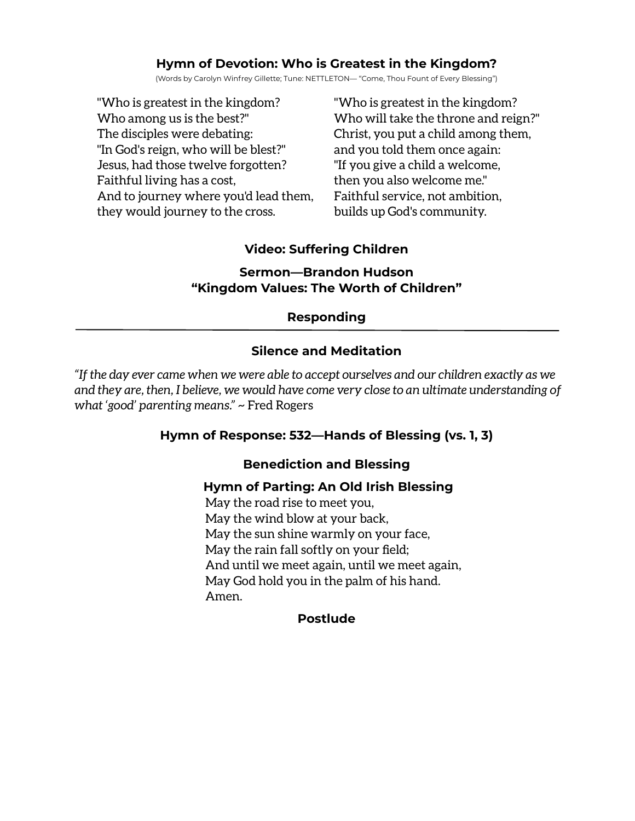## **Hymn of Devotion: Who is Greatest in the Kingdom?**

(Words by Carolyn Winfrey Gillette; Tune: NETTLETON— "Come, Thou Fount of Every Blessing")

"Who is greatest in the kingdom? Who among us is the best?" The disciples were debating: "In God's reign, who will be blest?" Jesus, had those twelve forgotten? Faithful living has a cost, And to journey where you'd lead them, they would journey to the cross.

"Who is greatest in the kingdom? Who will take the throne and reign?" Christ, you put a child among them, and you told them once again: "If you give a child a welcome, then you also welcome me." Faithful service, not ambition, builds up God's community.

# **Video: Suffering Children**

## **Sermon—Brandon Hudson "Kingdom Values: The Worth of Children"**

## **Responding**

# **Silence and Meditation**

*"If the day ever came when we were able to accept ourselves and our children exactly as we and they are, then, I believe, we would have come very close to an ultimate understanding of what 'good' parenting means." ~* Fred Rogers

## **Hymn of Response: 532—Hands of Blessing (vs. 1, 3)**

## **Benediction and Blessing**

## **Hymn of Parting: An Old Irish Blessing**

May the road rise to meet you, May the wind blow at your back, May the sun shine warmly on your face, May the rain fall softly on your field; And until we meet again, until we meet again, May God hold you in the palm of his hand. Amen.

## **Postlude**